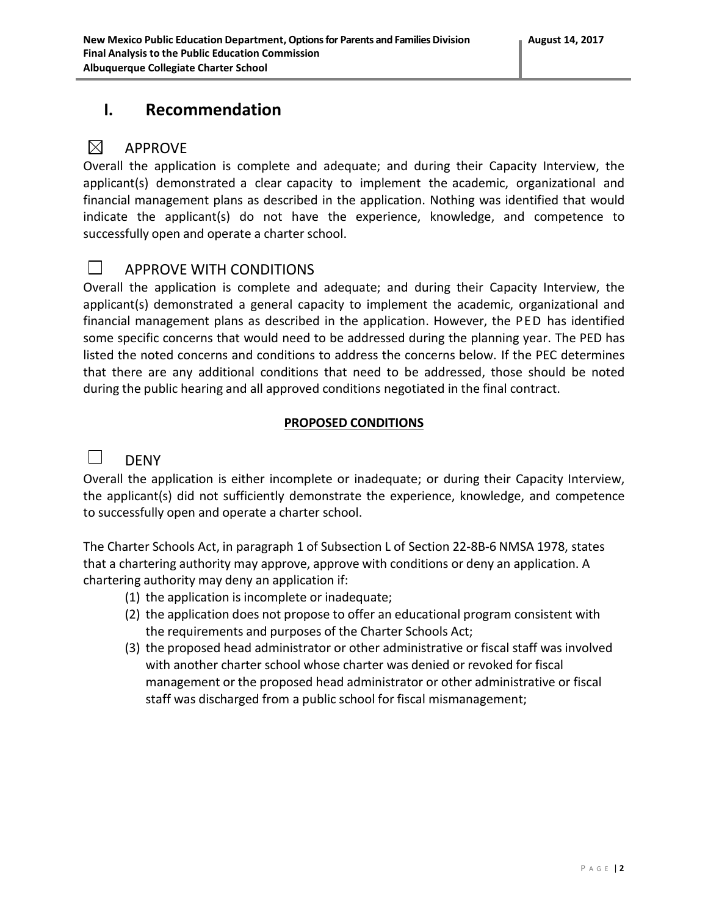## **I. Recommendation**

#### $\boxtimes$ APPROVE

Overall the application is complete and adequate; and during their Capacity Interview, the applicant(s) demonstrated a clear capacity to implement the academic, organizational and financial management plans as described in the application. Nothing was identified that would indicate the applicant(s) do not have the experience, knowledge, and competence to successfully open and operate a charter school.

### $\Box$

## APPROVE WITH CONDITIONS

Overall the application is complete and adequate; and during their Capacity Interview, the applicant(s) demonstrated a general capacity to implement the academic, organizational and financial management plans as described in the application. However, the PED has identified some specific concerns that would need to be addressed during the planning year. The PED has listed the noted concerns and conditions to address the concerns below. If the PEC determines that there are any additional conditions that need to be addressed, those should be noted during the public hearing and all approved conditions negotiated in the final contract.

### **PROPOSED CONDITIONS**

#### $\Box$ DENY

Overall the application is either incomplete or inadequate; or during their Capacity Interview, the applicant(s) did not sufficiently demonstrate the experience, knowledge, and competence to successfully open and operate a charter school.

The Charter Schools Act, in paragraph 1 of Subsection L of Section 22-8B-6 NMSA 1978, states that a chartering authority may approve, approve with conditions or deny an application. A chartering authority may deny an application if:

- (1) the application is incomplete or inadequate;
- (2) the application does not propose to offer an educational program consistent with the requirements and purposes of the Charter Schools Act;
- (3) the proposed head administrator or other administrative or fiscal staff was involved with another charter school whose charter was denied or revoked for fiscal management or the proposed head administrator or other administrative or fiscal staff was discharged from a public school for fiscal mismanagement;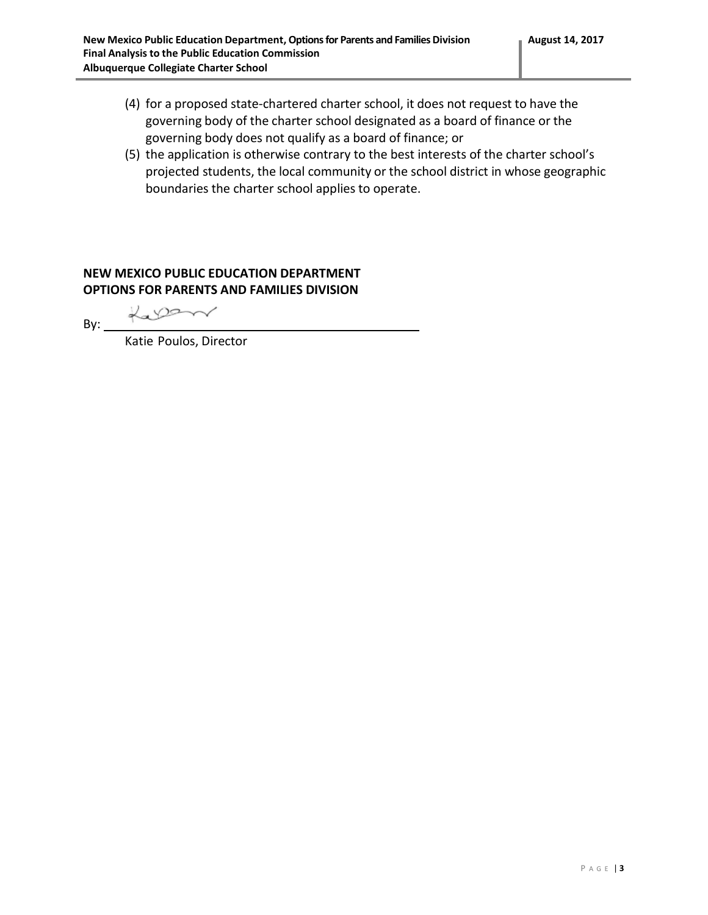- (4) for a proposed state-chartered charter school, it does not request to have the governing body of the charter school designated as a board of finance or the governing body does not qualify as a board of finance; or
- (5) the application is otherwise contrary to the best interests of the charter school's projected students, the local community or the school district in whose geographic boundaries the charter school applies to operate.

### **NEW MEXICO PUBLIC EDUCATION DEPARTMENT OPTIONS FOR PARENTS AND FAMILIES DIVISION**

Lalan  $By:$ 

Katie Poulos, Director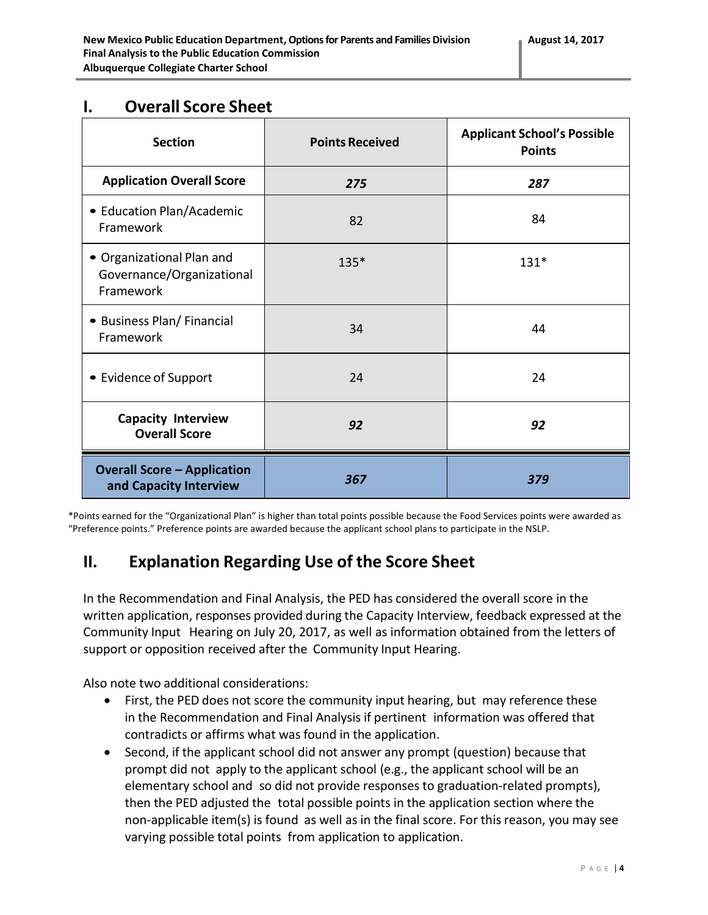## **I. Overall Score Sheet**

| <b>Section</b>                                                      | <b>Points Received</b> | <b>Applicant School's Possible</b><br><b>Points</b> |
|---------------------------------------------------------------------|------------------------|-----------------------------------------------------|
| <b>Application Overall Score</b>                                    | 275                    | 287                                                 |
| • Education Plan/Academic<br>Framework                              | 82                     | 84                                                  |
| • Organizational Plan and<br>Governance/Organizational<br>Framework | 135*                   | $131*$                                              |
| • Business Plan/ Financial<br>Framework                             | 34                     | 44                                                  |
| • Evidence of Support                                               | 24                     | 24                                                  |
| <b>Capacity Interview</b><br><b>Overall Score</b>                   | 92                     | 92                                                  |
| <b>Overall Score - Application</b><br>and Capacity Interview        | 367                    | 379                                                 |

\*Points earned for the "Organizational Plan" is higher than total points possible because the Food Services points were awarded as "Preference points." Preference points are awarded because the applicant school plans to participate in the NSLP.

## **II. Explanation Regarding Use of the Score Sheet**

In the Recommendation and Final Analysis, the PED has considered the overall score in the written application, responses provided during the Capacity Interview, feedback expressed at the Community Input Hearing on July 20, 2017, as well as information obtained from the letters of support or opposition received after the Community Input Hearing.

Also note two additional considerations:

- First, the PED does not score the community input hearing, but may reference these in the Recommendation and Final Analysis if pertinent information was offered that contradicts or affirms what was found in the application.
- Second, if the applicant school did not answer any prompt (question) because that prompt did not apply to the applicant school (e.g., the applicant school will be an elementary school and so did not provide responses to graduation-related prompts), then the PED adjusted the total possible points in the application section where the non-applicable item(s) is found as well as in the final score. For this reason, you may see varying possible total points from application to application.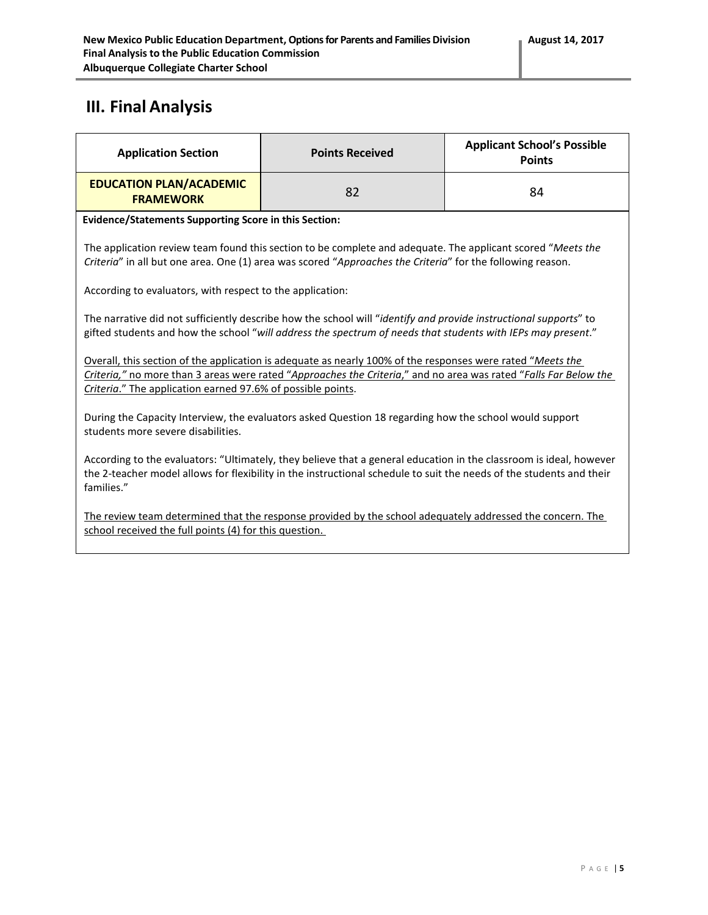# **III. Final Analysis**

| <b>Application Section</b>                                                                                                                                                                                                                                                                    | <b>Points Received</b> | <b>Applicant School's Possible</b><br><b>Points</b> |  |  |
|-----------------------------------------------------------------------------------------------------------------------------------------------------------------------------------------------------------------------------------------------------------------------------------------------|------------------------|-----------------------------------------------------|--|--|
| <b>EDUCATION PLAN/ACADEMIC</b><br><b>FRAMEWORK</b>                                                                                                                                                                                                                                            | 82                     | 84                                                  |  |  |
| <b>Evidence/Statements Supporting Score in this Section:</b>                                                                                                                                                                                                                                  |                        |                                                     |  |  |
| The application review team found this section to be complete and adequate. The applicant scored "Meets the<br>Criteria" in all but one area. One (1) area was scored "Approaches the Criteria" for the following reason.                                                                     |                        |                                                     |  |  |
| According to evaluators, with respect to the application:                                                                                                                                                                                                                                     |                        |                                                     |  |  |
| The narrative did not sufficiently describe how the school will "identify and provide instructional supports" to<br>gifted students and how the school "will address the spectrum of needs that students with IEPs may present."                                                              |                        |                                                     |  |  |
| Overall, this section of the application is adequate as nearly 100% of the responses were rated "Meets the<br>Criteria," no more than 3 areas were rated "Approaches the Criteria," and no area was rated "Falls Far Below the<br>Criteria." The application earned 97.6% of possible points. |                        |                                                     |  |  |
| During the Capacity Interview, the evaluators asked Question 18 regarding how the school would support<br>students more severe disabilities.                                                                                                                                                  |                        |                                                     |  |  |
| According to the evaluators: "Ultimately, they believe that a general education in the classroom is ideal, however<br>the 2-teacher model allows for flexibility in the instructional schedule to suit the needs of the students and their<br>families."                                      |                        |                                                     |  |  |
| The review team determined that the response provided by the school adequately addressed the concern. The<br>school received the full points (4) for this question.                                                                                                                           |                        |                                                     |  |  |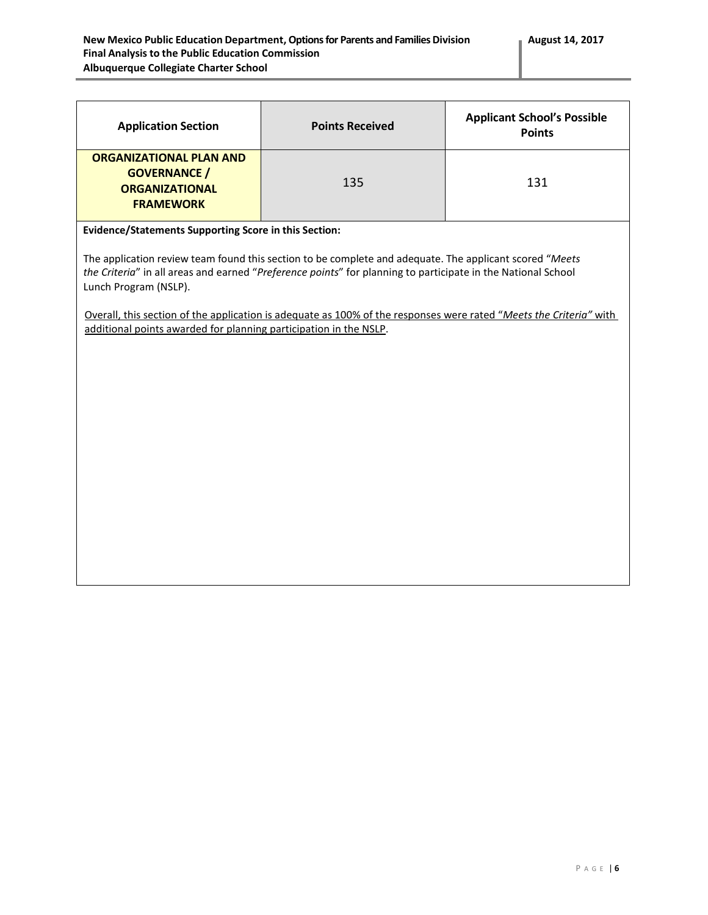| <b>Application Section</b>                                                                                                                                                                                                                                                                                                                                                                                                                                                                           | <b>Points Received</b> | <b>Applicant School's Possible</b><br><b>Points</b> |  |
|------------------------------------------------------------------------------------------------------------------------------------------------------------------------------------------------------------------------------------------------------------------------------------------------------------------------------------------------------------------------------------------------------------------------------------------------------------------------------------------------------|------------------------|-----------------------------------------------------|--|
| <b>ORGANIZATIONAL PLAN AND</b><br><b>GOVERNANCE</b> /<br><b>ORGANIZATIONAL</b><br><b>FRAMEWORK</b>                                                                                                                                                                                                                                                                                                                                                                                                   | 135                    | 131                                                 |  |
| Evidence/Statements Supporting Score in this Section:<br>The application review team found this section to be complete and adequate. The applicant scored "Meets<br>the Criteria" in all areas and earned "Preference points" for planning to participate in the National School<br>Lunch Program (NSLP).<br>Overall, this section of the application is adequate as 100% of the responses were rated "Meets the Criteria" with<br>additional points awarded for planning participation in the NSLP. |                        |                                                     |  |
|                                                                                                                                                                                                                                                                                                                                                                                                                                                                                                      |                        |                                                     |  |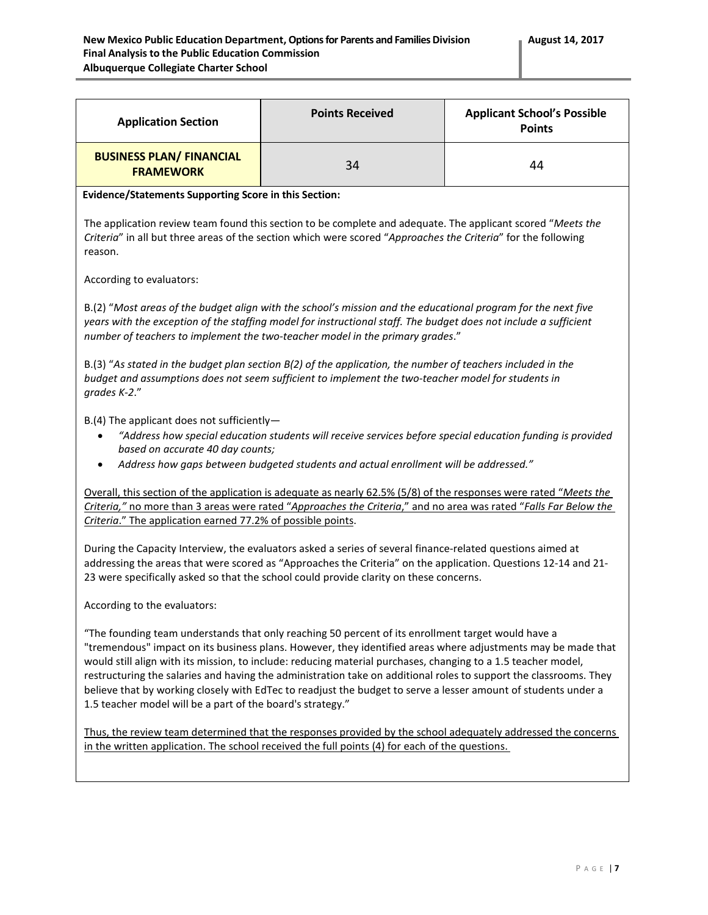| <b>Application Section</b>                                                                                                                                                                                                                                                                                                                                                                                                                                                                                                                                                                                                               | <b>Points Received</b> | <b>Applicant School's Possible</b><br><b>Points</b> |  |  |
|------------------------------------------------------------------------------------------------------------------------------------------------------------------------------------------------------------------------------------------------------------------------------------------------------------------------------------------------------------------------------------------------------------------------------------------------------------------------------------------------------------------------------------------------------------------------------------------------------------------------------------------|------------------------|-----------------------------------------------------|--|--|
| <b>BUSINESS PLAN/ FINANCIAL</b><br><b>FRAMEWORK</b>                                                                                                                                                                                                                                                                                                                                                                                                                                                                                                                                                                                      | 34                     | 44                                                  |  |  |
| <b>Evidence/Statements Supporting Score in this Section:</b>                                                                                                                                                                                                                                                                                                                                                                                                                                                                                                                                                                             |                        |                                                     |  |  |
| The application review team found this section to be complete and adequate. The applicant scored "Meets the<br>Criteria" in all but three areas of the section which were scored "Approaches the Criteria" for the following<br>reason.                                                                                                                                                                                                                                                                                                                                                                                                  |                        |                                                     |  |  |
| According to evaluators:                                                                                                                                                                                                                                                                                                                                                                                                                                                                                                                                                                                                                 |                        |                                                     |  |  |
| B.(2) "Most areas of the budget align with the school's mission and the educational program for the next five<br>years with the exception of the staffing model for instructional staff. The budget does not include a sufficient<br>number of teachers to implement the two-teacher model in the primary grades."                                                                                                                                                                                                                                                                                                                       |                        |                                                     |  |  |
| B.(3) "As stated in the budget plan section B(2) of the application, the number of teachers included in the<br>budget and assumptions does not seem sufficient to implement the two-teacher model for students in<br>grades K-2."                                                                                                                                                                                                                                                                                                                                                                                                        |                        |                                                     |  |  |
| $B.(4)$ The applicant does not sufficiently-<br>"Address how special education students will receive services before special education funding is provided<br>$\bullet$<br>based on accurate 40 day counts;<br>Address how gaps between budgeted students and actual enrollment will be addressed."<br>$\bullet$                                                                                                                                                                                                                                                                                                                         |                        |                                                     |  |  |
| Overall, this section of the application is adequate as nearly 62.5% (5/8) of the responses were rated "Meets the<br>Criteria," no more than 3 areas were rated "Approaches the Criteria," and no area was rated "Falls Far Below the<br>Criteria." The application earned 77.2% of possible points.                                                                                                                                                                                                                                                                                                                                     |                        |                                                     |  |  |
| During the Capacity Interview, the evaluators asked a series of several finance-related questions aimed at<br>addressing the areas that were scored as "Approaches the Criteria" on the application. Questions 12-14 and 21-<br>23 were specifically asked so that the school could provide clarity on these concerns.                                                                                                                                                                                                                                                                                                                   |                        |                                                     |  |  |
| According to the evaluators:                                                                                                                                                                                                                                                                                                                                                                                                                                                                                                                                                                                                             |                        |                                                     |  |  |
| "The founding team understands that only reaching 50 percent of its enrollment target would have a<br>"tremendous" impact on its business plans. However, they identified areas where adjustments may be made that<br>would still align with its mission, to include: reducing material purchases, changing to a 1.5 teacher model,<br>restructuring the salaries and having the administration take on additional roles to support the classrooms. They<br>believe that by working closely with EdTec to readjust the budget to serve a lesser amount of students under a<br>1.5 teacher model will be a part of the board's strategy." |                        |                                                     |  |  |
| Thus, the review team determined that the responses provided by the school adequately addressed the concerns<br>in the written application. The school received the full points (4) for each of the questions.                                                                                                                                                                                                                                                                                                                                                                                                                           |                        |                                                     |  |  |